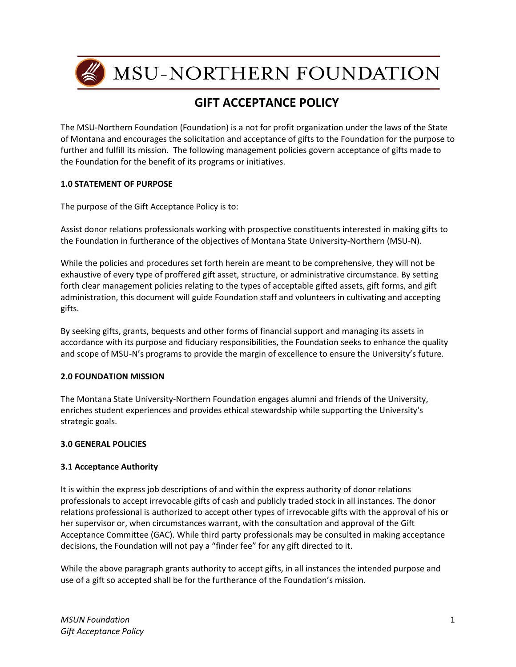

MSU-NORTHERN FOUNDATION

# **GIFT ACCEPTANCE POLICY**

The MSU-Northern Foundation (Foundation) is a not for profit organization under the laws of the State of Montana and encourages the solicitation and acceptance of gifts to the Foundation for the purpose to further and fulfill its mission. The following management policies govern acceptance of gifts made to the Foundation for the benefit of its programs or initiatives.

## **1.0 STATEMENT OF PURPOSE**

The purpose of the Gift Acceptance Policy is to:

Assist donor relations professionals working with prospective constituents interested in making gifts to the Foundation in furtherance of the objectives of Montana State University-Northern (MSU-N).

While the policies and procedures set forth herein are meant to be comprehensive, they will not be exhaustive of every type of proffered gift asset, structure, or administrative circumstance. By setting forth clear management policies relating to the types of acceptable gifted assets, gift forms, and gift administration, this document will guide Foundation staff and volunteers in cultivating and accepting gifts.

By seeking gifts, grants, bequests and other forms of financial support and managing its assets in accordance with its purpose and fiduciary responsibilities, the Foundation seeks to enhance the quality and scope of MSU-N's programs to provide the margin of excellence to ensure the University's future.

#### **2.0 FOUNDATION MISSION**

The Montana State University-Northern Foundation engages alumni and friends of the University, enriches student experiences and provides ethical stewardship while supporting the University's strategic goals.

# **3.0 GENERAL POLICIES**

# **3.1 Acceptance Authority**

It is within the express job descriptions of and within the express authority of donor relations professionals to accept irrevocable gifts of cash and publicly traded stock in all instances. The donor relations professional is authorized to accept other types of irrevocable gifts with the approval of his or her supervisor or, when circumstances warrant, with the consultation and approval of the Gift Acceptance Committee (GAC). While third party professionals may be consulted in making acceptance decisions, the Foundation will not pay a "finder fee" for any gift directed to it.

While the above paragraph grants authority to accept gifts, in all instances the intended purpose and use of a gift so accepted shall be for the furtherance of the Foundation's mission.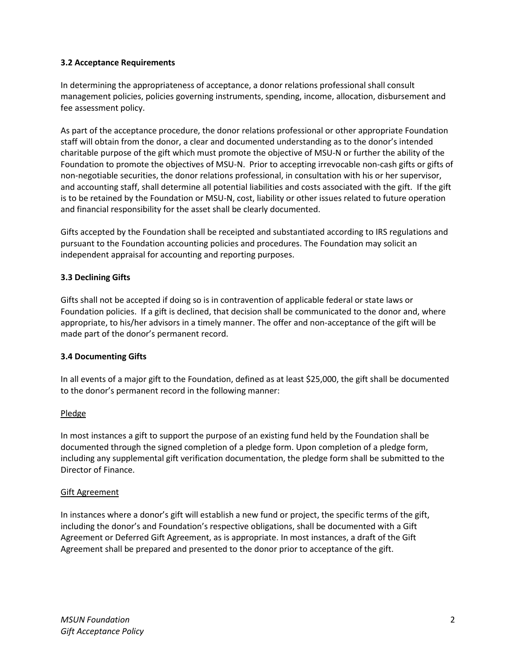# **3.2 Acceptance Requirements**

In determining the appropriateness of acceptance, a donor relations professional shall consult management policies, policies governing instruments, spending, income, allocation, disbursement and fee assessment policy.

As part of the acceptance procedure, the donor relations professional or other appropriate Foundation staff will obtain from the donor, a clear and documented understanding as to the donor's intended charitable purpose of the gift which must promote the objective of MSU-N or further the ability of the Foundation to promote the objectives of MSU-N. Prior to accepting irrevocable non‐cash gifts or gifts of non‐negotiable securities, the donor relations professional, in consultation with his or her supervisor, and accounting staff, shall determine all potential liabilities and costs associated with the gift. If the gift is to be retained by the Foundation or MSU-N, cost, liability or other issues related to future operation and financial responsibility for the asset shall be clearly documented.

Gifts accepted by the Foundation shall be receipted and substantiated according to IRS regulations and pursuant to the Foundation accounting policies and procedures. The Foundation may solicit an independent appraisal for accounting and reporting purposes.

## **3.3 Declining Gifts**

Gifts shall not be accepted if doing so is in contravention of applicable federal or state laws or Foundation policies. If a gift is declined, that decision shall be communicated to the donor and, where appropriate, to his/her advisors in a timely manner. The offer and non‐acceptance of the gift will be made part of the donor's permanent record.

#### **3.4 Documenting Gifts**

In all events of a major gift to the Foundation, defined as at least \$25,000, the gift shall be documented to the donor's permanent record in the following manner:

#### Pledge

In most instances a gift to support the purpose of an existing fund held by the Foundation shall be documented through the signed completion of a pledge form. Upon completion of a pledge form, including any supplemental gift verification documentation, the pledge form shall be submitted to the Director of Finance.

#### Gift Agreement

In instances where a donor's gift will establish a new fund or project, the specific terms of the gift, including the donor's and Foundation's respective obligations, shall be documented with a Gift Agreement or Deferred Gift Agreement, as is appropriate. In most instances, a draft of the Gift Agreement shall be prepared and presented to the donor prior to acceptance of the gift.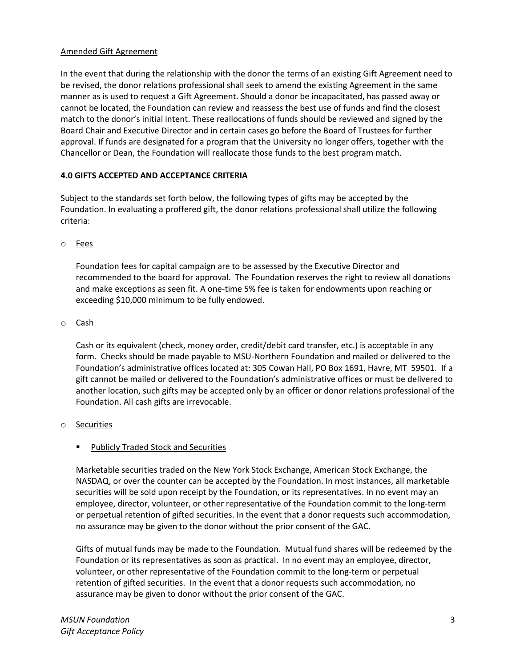# Amended Gift Agreement

In the event that during the relationship with the donor the terms of an existing Gift Agreement need to be revised, the donor relations professional shall seek to amend the existing Agreement in the same manner as is used to request a Gift Agreement. Should a donor be incapacitated, has passed away or cannot be located, the Foundation can review and reassess the best use of funds and find the closest match to the donor's initial intent. These reallocations of funds should be reviewed and signed by the Board Chair and Executive Director and in certain cases go before the Board of Trustees for further approval. If funds are designated for a program that the University no longer offers, together with the Chancellor or Dean, the Foundation will reallocate those funds to the best program match.

# **4.0 GIFTS ACCEPTED AND ACCEPTANCE CRITERIA**

Subject to the standards set forth below, the following types of gifts may be accepted by the Foundation. In evaluating a proffered gift, the donor relations professional shall utilize the following criteria:

o Fees

Foundation fees for capital campaign are to be assessed by the Executive Director and recommended to the board for approval. The Foundation reserves the right to review all donations and make exceptions as seen fit. A one-time 5% fee is taken for endowments upon reaching or exceeding \$10,000 minimum to be fully endowed.

o Cash

Cash or its equivalent (check, money order, credit/debit card transfer, etc.) is acceptable in any form. Checks should be made payable to MSU-Northern Foundation and mailed or delivered to the Foundation's administrative offices located at: 305 Cowan Hall, PO Box 1691, Havre, MT 59501. If a gift cannot be mailed or delivered to the Foundation's administrative offices or must be delivered to another location, such gifts may be accepted only by an officer or donor relations professional of the Foundation. All cash gifts are irrevocable.

o Securities

#### **Publicly Traded Stock and Securities**

Marketable securities traded on the New York Stock Exchange, American Stock Exchange, the NASDAQ, or over the counter can be accepted by the Foundation. In most instances, all marketable securities will be sold upon receipt by the Foundation, or its representatives. In no event may an employee, director, volunteer, or other representative of the Foundation commit to the long‐term or perpetual retention of gifted securities. In the event that a donor requests such accommodation, no assurance may be given to the donor without the prior consent of the GAC.

Gifts of mutual funds may be made to the Foundation. Mutual fund shares will be redeemed by the Foundation or its representatives as soon as practical. In no event may an employee, director, volunteer, or other representative of the Foundation commit to the long‐term or perpetual retention of gifted securities. In the event that a donor requests such accommodation, no assurance may be given to donor without the prior consent of the GAC.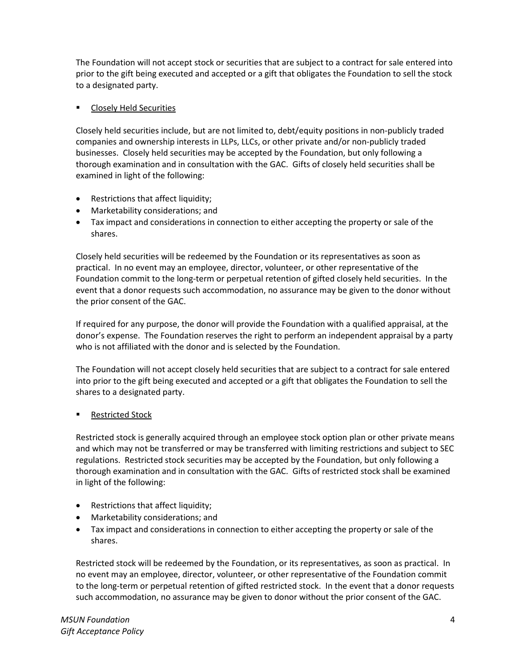The Foundation will not accept stock or securities that are subject to a contract for sale entered into prior to the gift being executed and accepted or a gift that obligates the Foundation to sell the stock to a designated party.

# **Example 1** Closely Held Securities

Closely held securities include, but are not limited to, debt/equity positions in non-publicly traded companies and ownership interests in LLPs, LLCs, or other private and/or non‐publicly traded businesses. Closely held securities may be accepted by the Foundation, but only following a thorough examination and in consultation with the GAC. Gifts of closely held securities shall be examined in light of the following:

- Restrictions that affect liquidity;
- Marketability considerations; and
- Tax impact and considerations in connection to either accepting the property or sale of the shares.

Closely held securities will be redeemed by the Foundation or its representatives as soon as practical. In no event may an employee, director, volunteer, or other representative of the Foundation commit to the long‐term or perpetual retention of gifted closely held securities. In the event that a donor requests such accommodation, no assurance may be given to the donor without the prior consent of the GAC.

If required for any purpose, the donor will provide the Foundation with a qualified appraisal, at the donor's expense. The Foundation reserves the right to perform an independent appraisal by a party who is not affiliated with the donor and is selected by the Foundation.

The Foundation will not accept closely held securities that are subject to a contract for sale entered into prior to the gift being executed and accepted or a gift that obligates the Foundation to sell the shares to a designated party.

# Restricted Stock

Restricted stock is generally acquired through an employee stock option plan or other private means and which may not be transferred or may be transferred with limiting restrictions and subject to SEC regulations. Restricted stock securities may be accepted by the Foundation, but only following a thorough examination and in consultation with the GAC. Gifts of restricted stock shall be examined in light of the following:

- Restrictions that affect liquidity;
- Marketability considerations; and
- Tax impact and considerations in connection to either accepting the property or sale of the shares.

Restricted stock will be redeemed by the Foundation, or its representatives, as soon as practical. In no event may an employee, director, volunteer, or other representative of the Foundation commit to the long‐term or perpetual retention of gifted restricted stock. In the event that a donor requests such accommodation, no assurance may be given to donor without the prior consent of the GAC.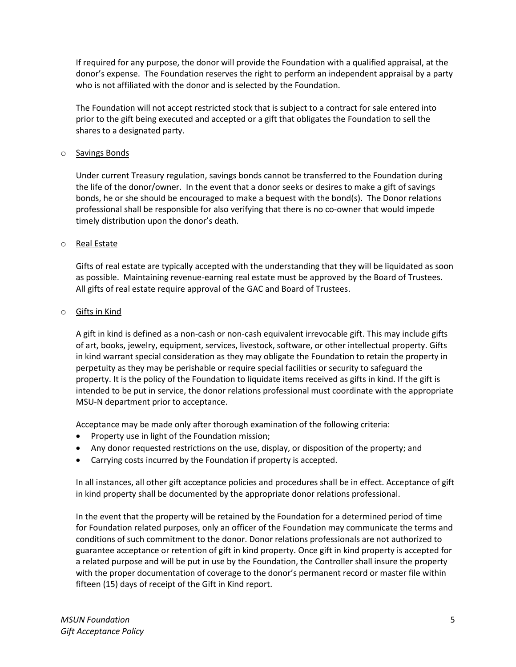If required for any purpose, the donor will provide the Foundation with a qualified appraisal, at the donor's expense. The Foundation reserves the right to perform an independent appraisal by a party who is not affiliated with the donor and is selected by the Foundation.

The Foundation will not accept restricted stock that is subject to a contract for sale entered into prior to the gift being executed and accepted or a gift that obligates the Foundation to sell the shares to a designated party.

## o Savings Bonds

Under current Treasury regulation, savings bonds cannot be transferred to the Foundation during the life of the donor/owner. In the event that a donor seeks or desires to make a gift of savings bonds, he or she should be encouraged to make a bequest with the bond(s). The Donor relations professional shall be responsible for also verifying that there is no co-owner that would impede timely distribution upon the donor's death.

## o Real Estate

Gifts of real estate are typically accepted with the understanding that they will be liquidated as soon as possible. Maintaining revenue-earning real estate must be approved by the Board of Trustees. All gifts of real estate require approval of the GAC and Board of Trustees.

## o Gifts in Kind

A gift in kind is defined as a non‐cash or non‐cash equivalent irrevocable gift. This may include gifts of art, books, jewelry, equipment, services, livestock, software, or other intellectual property. Gifts in kind warrant special consideration as they may obligate the Foundation to retain the property in perpetuity as they may be perishable or require special facilities or security to safeguard the property. It is the policy of the Foundation to liquidate items received as gifts in kind. If the gift is intended to be put in service, the donor relations professional must coordinate with the appropriate MSU-N department prior to acceptance.

Acceptance may be made only after thorough examination of the following criteria:

- Property use in light of the Foundation mission;
- Any donor requested restrictions on the use, display, or disposition of the property; and
- Carrying costs incurred by the Foundation if property is accepted.

In all instances, all other gift acceptance policies and procedures shall be in effect. Acceptance of gift in kind property shall be documented by the appropriate donor relations professional.

In the event that the property will be retained by the Foundation for a determined period of time for Foundation related purposes, only an officer of the Foundation may communicate the terms and conditions of such commitment to the donor. Donor relations professionals are not authorized to guarantee acceptance or retention of gift in kind property. Once gift in kind property is accepted for a related purpose and will be put in use by the Foundation, the Controller shall insure the property with the proper documentation of coverage to the donor's permanent record or master file within fifteen (15) days of receipt of the Gift in Kind report.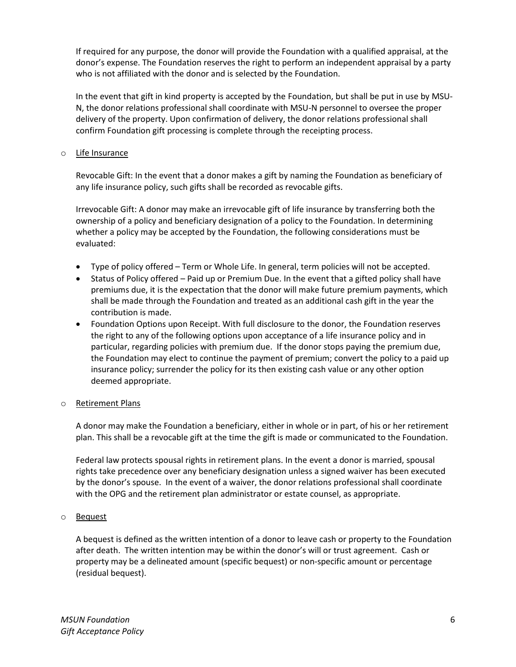If required for any purpose, the donor will provide the Foundation with a qualified appraisal, at the donor's expense. The Foundation reserves the right to perform an independent appraisal by a party who is not affiliated with the donor and is selected by the Foundation.

In the event that gift in kind property is accepted by the Foundation, but shall be put in use by MSU-N, the donor relations professional shall coordinate with MSU-N personnel to oversee the proper delivery of the property. Upon confirmation of delivery, the donor relations professional shall confirm Foundation gift processing is complete through the receipting process.

#### o Life Insurance

Revocable Gift: In the event that a donor makes a gift by naming the Foundation as beneficiary of any life insurance policy, such gifts shall be recorded as revocable gifts.

Irrevocable Gift: A donor may make an irrevocable gift of life insurance by transferring both the ownership of a policy and beneficiary designation of a policy to the Foundation. In determining whether a policy may be accepted by the Foundation, the following considerations must be evaluated:

- Type of policy offered Term or Whole Life. In general, term policies will not be accepted.
- Status of Policy offered Paid up or Premium Due. In the event that a gifted policy shall have premiums due, it is the expectation that the donor will make future premium payments, which shall be made through the Foundation and treated as an additional cash gift in the year the contribution is made.
- Foundation Options upon Receipt. With full disclosure to the donor, the Foundation reserves the right to any of the following options upon acceptance of a life insurance policy and in particular, regarding policies with premium due. If the donor stops paying the premium due, the Foundation may elect to continue the payment of premium; convert the policy to a paid up insurance policy; surrender the policy for its then existing cash value or any other option deemed appropriate.

#### o Retirement Plans

A donor may make the Foundation a beneficiary, either in whole or in part, of his or her retirement plan. This shall be a revocable gift at the time the gift is made or communicated to the Foundation.

Federal law protects spousal rights in retirement plans. In the event a donor is married, spousal rights take precedence over any beneficiary designation unless a signed waiver has been executed by the donor's spouse. In the event of a waiver, the donor relations professional shall coordinate with the OPG and the retirement plan administrator or estate counsel, as appropriate.

#### o Bequest

A bequest is defined as the written intention of a donor to leave cash or property to the Foundation after death. The written intention may be within the donor's will or trust agreement. Cash or property may be a delineated amount (specific bequest) or non‐specific amount or percentage (residual bequest).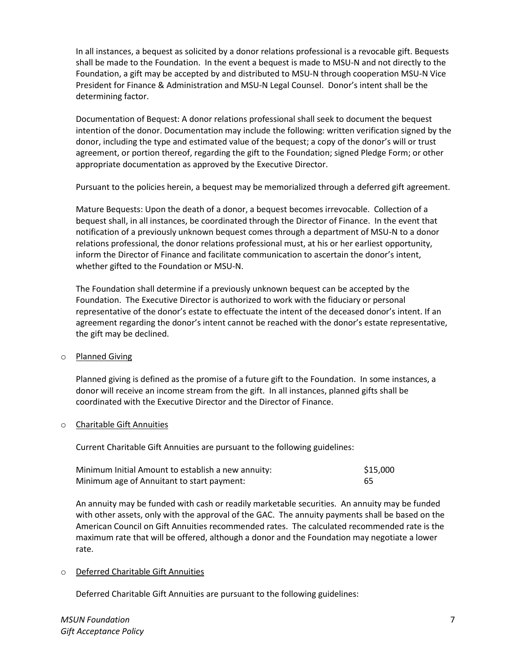In all instances, a bequest as solicited by a donor relations professional is a revocable gift. Bequests shall be made to the Foundation. In the event a bequest is made to MSU-N and not directly to the Foundation, a gift may be accepted by and distributed to MSU-N through cooperation MSU-N Vice President for Finance & Administration and MSU-N Legal Counsel. Donor's intent shall be the determining factor.

Documentation of Bequest: A donor relations professional shall seek to document the bequest intention of the donor. Documentation may include the following: written verification signed by the donor, including the type and estimated value of the bequest; a copy of the donor's will or trust agreement, or portion thereof, regarding the gift to the Foundation; signed Pledge Form; or other appropriate documentation as approved by the Executive Director.

Pursuant to the policies herein, a bequest may be memorialized through a deferred gift agreement.

Mature Bequests: Upon the death of a donor, a bequest becomes irrevocable. Collection of a bequest shall, in all instances, be coordinated through the Director of Finance. In the event that notification of a previously unknown bequest comes through a department of MSU-N to a donor relations professional, the donor relations professional must, at his or her earliest opportunity, inform the Director of Finance and facilitate communication to ascertain the donor's intent, whether gifted to the Foundation or MSU-N.

The Foundation shall determine if a previously unknown bequest can be accepted by the Foundation. The Executive Director is authorized to work with the fiduciary or personal representative of the donor's estate to effectuate the intent of the deceased donor's intent. If an agreement regarding the donor's intent cannot be reached with the donor's estate representative, the gift may be declined.

#### o Planned Giving

Planned giving is defined as the promise of a future gift to the Foundation. In some instances, a donor will receive an income stream from the gift. In all instances, planned gifts shall be coordinated with the Executive Director and the Director of Finance.

#### o Charitable Gift Annuities

Current Charitable Gift Annuities are pursuant to the following guidelines:

| Minimum Initial Amount to establish a new annuity: | \$15,000 |
|----------------------------------------------------|----------|
| Minimum age of Annuitant to start payment:         | 65       |

An annuity may be funded with cash or readily marketable securities. An annuity may be funded with other assets, only with the approval of the GAC. The annuity payments shall be based on the American Council on Gift Annuities recommended rates. The calculated recommended rate is the maximum rate that will be offered, although a donor and the Foundation may negotiate a lower rate.

#### o Deferred Charitable Gift Annuities

Deferred Charitable Gift Annuities are pursuant to the following guidelines: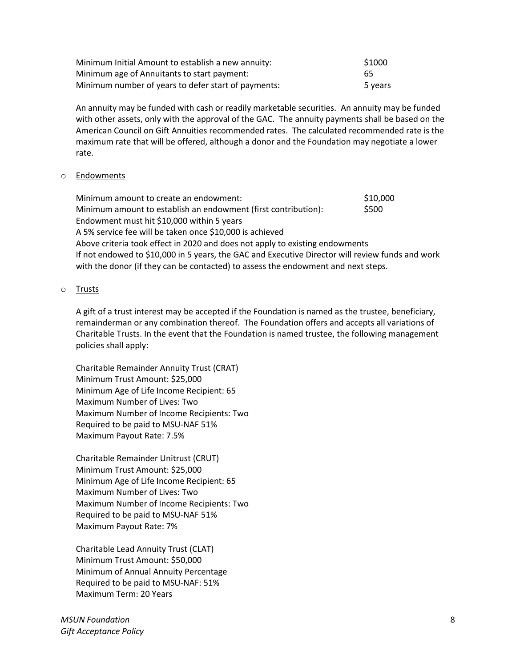| Minimum Initial Amount to establish a new annuity:  | \$1000  |
|-----------------------------------------------------|---------|
| Minimum age of Annuitants to start payment:         | 65      |
| Minimum number of years to defer start of payments: | 5 years |

An annuity may be funded with cash or readily marketable securities. An annuity may be funded with other assets, only with the approval of the GAC. The annuity payments shall be based on the American Council on Gift Annuities recommended rates. The calculated recommended rate is the maximum rate that will be offered, although a donor and the Foundation may negotiate a lower rate.

#### o Endowments

Minimum amount to create an endowment: \$10,000 Minimum amount to establish an endowment (first contribution): \$500 Endowment must hit \$10,000 within 5 years A 5% service fee will be taken once \$10,000 is achieved Above criteria took effect in 2020 and does not apply to existing endowments If not endowed to \$10,000 in 5 years, the GAC and Executive Director will review funds and work with the donor (if they can be contacted) to assess the endowment and next steps.

#### o Trusts

A gift of a trust interest may be accepted if the Foundation is named as the trustee, beneficiary, remainderman or any combination thereof. The Foundation offers and accepts all variations of Charitable Trusts. In the event that the Foundation is named trustee, the following management policies shall apply:

Charitable Remainder Annuity Trust (CRAT) Minimum Trust Amount: \$25,000 Minimum Age of Life Income Recipient: 65 Maximum Number of Lives: Two Maximum Number of Income Recipients: Two Required to be paid to MSU-NAF 51% Maximum Payout Rate: 7.5%

Charitable Remainder Unitrust (CRUT) Minimum Trust Amount: \$25,000 Minimum Age of Life Income Recipient: 65 Maximum Number of Lives: Two Maximum Number of Income Recipients: Two Required to be paid to MSU-NAF 51% Maximum Payout Rate: 7%

Charitable Lead Annuity Trust (CLAT) Minimum Trust Amount: \$50,000 Minimum of Annual Annuity Percentage Required to be paid to MSU-NAF: 51% Maximum Term: 20 Years

*MSUN Foundation* 8 *Gift Acceptance Policy*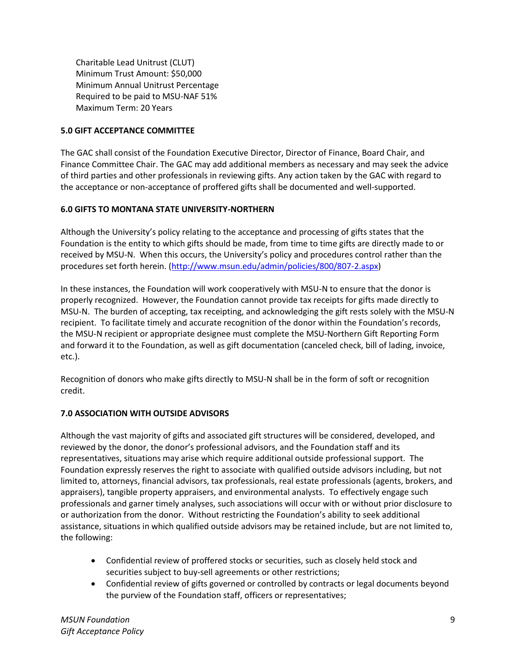Charitable Lead Unitrust (CLUT) Minimum Trust Amount: \$50,000 Minimum Annual Unitrust Percentage Required to be paid to MSU-NAF 51% Maximum Term: 20 Years

#### **5.0 GIFT ACCEPTANCE COMMITTEE**

The GAC shall consist of the Foundation Executive Director, Director of Finance, Board Chair, and Finance Committee Chair. The GAC may add additional members as necessary and may seek the advice of third parties and other professionals in reviewing gifts. Any action taken by the GAC with regard to the acceptance or non‐acceptance of proffered gifts shall be documented and well‐supported.

## **6.0 GIFTS TO MONTANA STATE UNIVERSITY-NORTHERN**

Although the University's policy relating to the acceptance and processing of gifts states that the Foundation is the entity to which gifts should be made, from time to time gifts are directly made to or received by MSU-N. When this occurs, the University's policy and procedures control rather than the procedures set forth herein. [\(http://www.msun.edu/admin/policies/800/807-2.aspx\)](http://www.msun.edu/admin/policies/800/807-2.aspx)

In these instances, the Foundation will work cooperatively with MSU-N to ensure that the donor is properly recognized. However, the Foundation cannot provide tax receipts for gifts made directly to MSU-N. The burden of accepting, tax receipting, and acknowledging the gift rests solely with the MSU-N recipient. To facilitate timely and accurate recognition of the donor within the Foundation's records, the MSU-N recipient or appropriate designee must complete the MSU-Northern Gift Reporting Form and forward it to the Foundation, as well as gift documentation (canceled check, bill of lading, invoice, etc.).

Recognition of donors who make gifts directly to MSU-N shall be in the form of soft or recognition credit.

# **7.0 ASSOCIATION WITH OUTSIDE ADVISORS**

Although the vast majority of gifts and associated gift structures will be considered, developed, and reviewed by the donor, the donor's professional advisors, and the Foundation staff and its representatives, situations may arise which require additional outside professional support. The Foundation expressly reserves the right to associate with qualified outside advisors including, but not limited to, attorneys, financial advisors, tax professionals, real estate professionals (agents, brokers, and appraisers), tangible property appraisers, and environmental analysts. To effectively engage such professionals and garner timely analyses, such associations will occur with or without prior disclosure to or authorization from the donor. Without restricting the Foundation's ability to seek additional assistance, situations in which qualified outside advisors may be retained include, but are not limited to, the following:

- Confidential review of proffered stocks or securities, such as closely held stock and securities subject to buy-sell agreements or other restrictions;
- Confidential review of gifts governed or controlled by contracts or legal documents beyond the purview of the Foundation staff, officers or representatives;